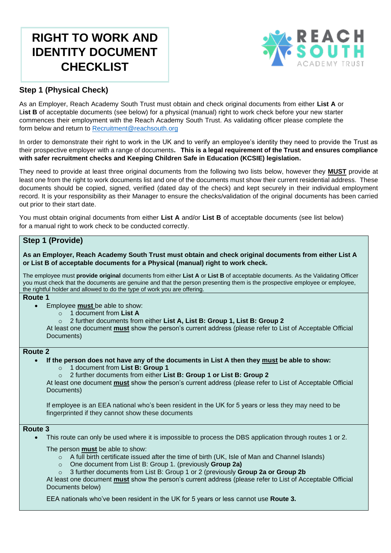# **RIGHT TO WORK AND IDENTITY DOCUMENT CHECKLIST**



## **Step 1 (Physical Check)**

As an Employer, Reach Academy South Trust must obtain and check original documents from either **List A** or List **B** of acceptable documents (see below) for a physical (manual) right to work check before your new starter commences their employment with the Reach Academy South Trust. As validating officer please complete the form below and return to [Recruitment@reachsouth.org](mailto:Recruitment@reachsouth.org)

In order to demonstrate their right to work in the UK and to verify an employee's identity they need to provide the Trust as their prospective employer with a range of documents**. This is a legal requirement of the Trust and ensures compliance with safer recruitment checks and Keeping Children Safe in Education (KCSIE) legislation.**

They need to provide at least three original documents from the following two lists below, however they **MUST** provide at least one from the right to work documents list and one of the documents must show their current residential address. These documents should be copied, signed, verified (dated day of the check) and kept securely in their individual employment record. It is your responsibility as their Manager to ensure the checks/validation of the original documents has been carried out prior to their start date.

You must obtain original documents from either **List A** and/or **List B** of acceptable documents (see list below) for a manual right to work check to be conducted correctly.

## **Step 1 (Provide)**

**As an Employer, Reach Academy South Trust must obtain and check original documents from either List A or List B of acceptable documents for a Physical (manual) right to work check.** 

The employee must **provide original** documents from either **List A** or **List B** of acceptable documents. As the Validating Officer you must check that the documents are genuine and that the person presenting them is the prospective employee or employee, the rightful holder and allowed to do the type of work you are offering.

## **Route 1**

- Employee **must** be able to show:
	- o 1 document from **List A**
	- o 2 further documents from either **List A, List B: Group 1, List B: Group 2**

 At least one document **must** show the person's current address (please refer to List of Acceptable Official Documents)

## **Route 2**

- **If the person does not have any of the documents in List A then they must be able to show:** o 1 document from **List B: Group 1**
	- o 2 further documents from either **List B: Group 1 or List B: Group 2**

 At least one document **must** show the person's current address (please refer to List of Acceptable Official Documents)

If employee is an EEA national who's been resident in the UK for 5 years or less they may need to be fingerprinted if they cannot show these documents

#### **Route 3**

- This route can only be used where it is impossible to process the DBS application through routes 1 or 2.
	- The person **must** be able to show:
		- $\circ$  A full birth certificate issued after the time of birth (UK, Isle of Man and Channel Islands)
		- o One document from List B: Group 1. (previously **Group 2a)**
		- o 3 further documents from List B: Group 1 or 2 (previously **Group 2a or Group 2b**

 At least one document **must** show the person's current address (please refer to List of Acceptable Official Documents below)

EEA nationals who've been resident in the UK for 5 years or less cannot use **Route 3.**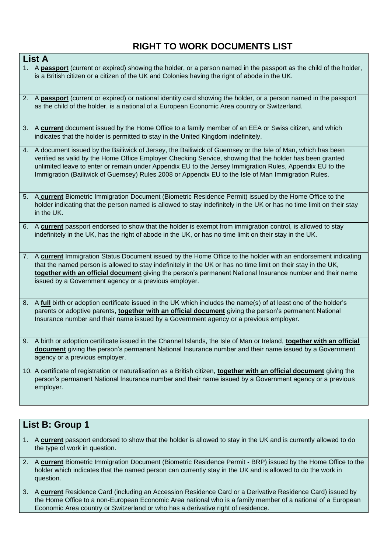## **RIGHT TO WORK DOCUMENTS LIST**

| <b>List A</b>                                                                                                                                                                                                                                                                                                                                                                                                                                |
|----------------------------------------------------------------------------------------------------------------------------------------------------------------------------------------------------------------------------------------------------------------------------------------------------------------------------------------------------------------------------------------------------------------------------------------------|
| 1. A passport (current or expired) showing the holder, or a person named in the passport as the child of the holder,<br>is a British citizen or a citizen of the UK and Colonies having the right of abode in the UK.                                                                                                                                                                                                                        |
| 2. A passport (current or expired) or national identity card showing the holder, or a person named in the passport<br>as the child of the holder, is a national of a European Economic Area country or Switzerland.                                                                                                                                                                                                                          |
| 3. A current document issued by the Home Office to a family member of an EEA or Swiss citizen, and which<br>indicates that the holder is permitted to stay in the United Kingdom indefinitely.                                                                                                                                                                                                                                               |
| 4. A document issued by the Bailiwick of Jersey, the Bailiwick of Guernsey or the Isle of Man, which has been<br>verified as valid by the Home Office Employer Checking Service, showing that the holder has been granted<br>unlimited leave to enter or remain under Appendix EU to the Jersey Immigration Rules, Appendix EU to the<br>Immigration (Bailiwick of Guernsey) Rules 2008 or Appendix EU to the Isle of Man Immigration Rules. |
| 5. A current Biometric Immigration Document (Biometric Residence Permit) issued by the Home Office to the<br>holder indicating that the person named is allowed to stay indefinitely in the UK or has no time limit on their stay<br>in the UK.                                                                                                                                                                                              |
| 6. A current passport endorsed to show that the holder is exempt from immigration control, is allowed to stay<br>indefinitely in the UK, has the right of abode in the UK, or has no time limit on their stay in the UK.                                                                                                                                                                                                                     |
| 7. A current Immigration Status Document issued by the Home Office to the holder with an endorsement indicating<br>that the named person is allowed to stay indefinitely in the UK or has no time limit on their stay in the UK,<br>together with an official document giving the person's permanent National Insurance number and their name<br>issued by a Government agency or a previous employer.                                       |
| 8. A full birth or adoption certificate issued in the UK which includes the name(s) of at least one of the holder's<br>parents or adoptive parents, <i>together with an official document</i> giving the person's permanent National<br>Insurance number and their name issued by a Government agency or a previous employer.                                                                                                                |
| 9. A birth or adoption certificate issued in the Channel Islands, the Isle of Man or Ireland, together with an official<br>document giving the person's permanent National Insurance number and their name issued by a Government<br>agency or a previous employer.                                                                                                                                                                          |
| 10. A certificate of registration or naturalisation as a British citizen, together with an official document giving the<br>person's permanent National Insurance number and their name issued by a Government agency or a previous<br>employer.                                                                                                                                                                                              |

## **List B: Group 1**

- 1. A **current** passport endorsed to show that the holder is allowed to stay in the UK and is currently allowed to do the type of work in question.
- 2. A **current** Biometric Immigration Document (Biometric Residence Permit BRP) issued by the Home Office to the holder which indicates that the named person can currently stay in the UK and is allowed to do the work in question.
- 3. A **current** Residence Card (including an Accession Residence Card or a Derivative Residence Card) issued by the Home Office to a non-European Economic Area national who is a family member of a national of a European Economic Area country or Switzerland or who has a derivative right of residence.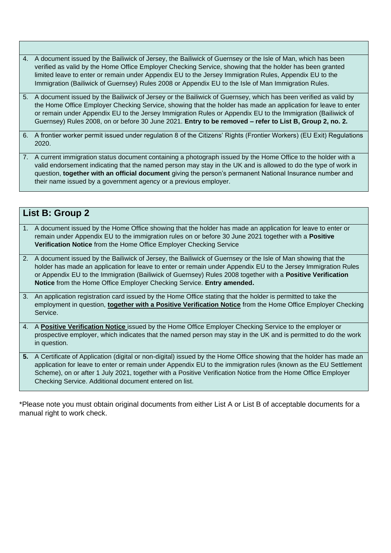- 4. A document issued by the Bailiwick of Jersey, the Bailiwick of Guernsey or the Isle of Man, which has been verified as valid by the Home Office Employer Checking Service, showing that the holder has been granted limited leave to enter or remain under Appendix EU to the Jersey Immigration Rules, Appendix EU to the Immigration (Bailiwick of Guernsey) Rules 2008 or Appendix EU to the Isle of Man Immigration Rules.
- 5. A document issued by the Bailiwick of Jersey or the Bailiwick of Guernsey, which has been verified as valid by the Home Office Employer Checking Service, showing that the holder has made an application for leave to enter or remain under Appendix EU to the Jersey Immigration Rules or Appendix EU to the Immigration (Bailiwick of Guernsey) Rules 2008, on or before 30 June 2021. **Entry to be removed – refer to List B, Group 2, no. 2.**
- 6. A frontier worker permit issued under regulation 8 of the Citizens' Rights (Frontier Workers) (EU Exit) Regulations 2020.
- 7. A current immigration status document containing a photograph issued by the Home Office to the holder with a valid endorsement indicating that the named person may stay in the UK and is allowed to do the type of work in question, **together with an official document** giving the person's permanent National Insurance number and their name issued by a government agency or a previous employer.

|             | List B: Group 2                                                                                                                                                                                                                                                                                                                                                                                                            |  |  |  |  |
|-------------|----------------------------------------------------------------------------------------------------------------------------------------------------------------------------------------------------------------------------------------------------------------------------------------------------------------------------------------------------------------------------------------------------------------------------|--|--|--|--|
| $1_{\cdot}$ | A document issued by the Home Office showing that the holder has made an application for leave to enter or<br>remain under Appendix EU to the immigration rules on or before 30 June 2021 together with a Positive<br>Verification Notice from the Home Office Employer Checking Service                                                                                                                                   |  |  |  |  |
| 2.          | A document issued by the Bailiwick of Jersey, the Bailiwick of Guernsey or the Isle of Man showing that the<br>holder has made an application for leave to enter or remain under Appendix EU to the Jersey Immigration Rules<br>or Appendix EU to the Immigration (Bailiwick of Guernsey) Rules 2008 together with a <b>Positive Verification</b><br>Notice from the Home Office Employer Checking Service. Entry amended. |  |  |  |  |
| 3.          | An application registration card issued by the Home Office stating that the holder is permitted to take the<br>employment in question, <i>together with a Positive Verification Notice</i> from the Home Office Employer Checking<br>Service.                                                                                                                                                                              |  |  |  |  |
|             | 4. A Positive Verification Notice issued by the Home Office Employer Checking Service to the employer or<br>prospective employer, which indicates that the named person may stay in the UK and is permitted to do the work<br>in question.                                                                                                                                                                                 |  |  |  |  |
| 5.          | A Certificate of Application (digital or non-digital) issued by the Home Office showing that the holder has made an<br>application for leave to enter or remain under Appendix EU to the immigration rules (known as the EU Settlement<br>Scheme), on or after 1 July 2021, together with a Positive Verification Notice from the Home Office Employer                                                                     |  |  |  |  |

\*Please note you must obtain original documents from either List A or List B of acceptable documents for a manual right to work check.

Checking Service. Additional document entered on list.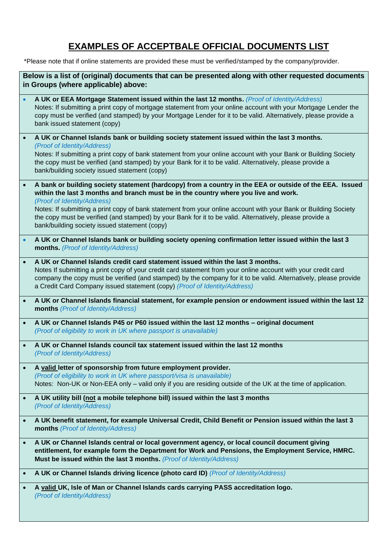# **EXAMPLES OF ACCEPTBALE OFFICIAL DOCUMENTS LIST**

\*Please note that if online statements are provided these must be verified/stamped by the company/provider.

|           | Below is a list of (original) documents that can be presented along with other requested documents<br>in Groups (where applicable) above:                                                                                                                                                                                                                                                                                                                                                                     |
|-----------|---------------------------------------------------------------------------------------------------------------------------------------------------------------------------------------------------------------------------------------------------------------------------------------------------------------------------------------------------------------------------------------------------------------------------------------------------------------------------------------------------------------|
|           | A UK or EEA Mortgage Statement issued within the last 12 months. (Proof of Identity/Address)<br>Notes: If submitting a print copy of mortgage statement from your online account with your Mortgage Lender the<br>copy must be verified (and stamped) by your Mortgage Lender for it to be valid. Alternatively, please provide a<br>bank issued statement (copy)                                                                                                                                             |
|           | A UK or Channel Islands bank or building society statement issued within the last 3 months.<br>(Proof of Identity/Address)<br>Notes: If submitting a print copy of bank statement from your online account with your Bank or Building Society<br>the copy must be verified (and stamped) by your Bank for it to be valid. Alternatively, please provide a<br>bank/building society issued statement (copy)                                                                                                    |
|           | A bank or building society statement (hardcopy) from a country in the EEA or outside of the EEA. Issued<br>within the last 3 months and branch must be in the country where you live and work.<br>(Proof of Identity/Address)<br>Notes: If submitting a print copy of bank statement from your online account with your Bank or Building Society<br>the copy must be verified (and stamped) by your Bank for it to be valid. Alternatively, please provide a<br>bank/building society issued statement (copy) |
|           | A UK or Channel Islands bank or building society opening confirmation letter issued within the last 3<br>months. (Proof of Identity/Address)                                                                                                                                                                                                                                                                                                                                                                  |
|           | A UK or Channel Islands credit card statement issued within the last 3 months.<br>Notes If submitting a print copy of your credit card statement from your online account with your credit card<br>company the copy must be verified (and stamped) by the company for it to be valid. Alternatively, please provide<br>a Credit Card Company issued statement (copy) (Proof of Identity/Address)                                                                                                              |
|           | A UK or Channel Islands financial statement, for example pension or endowment issued within the last 12<br>months (Proof of Identity/Address)                                                                                                                                                                                                                                                                                                                                                                 |
| $\bullet$ | A UK or Channel Islands P45 or P60 issued within the last 12 months - original document<br>(Proof of eligibility to work in UK where passport is unavailable)                                                                                                                                                                                                                                                                                                                                                 |
|           | A UK or Channel Islands council tax statement issued within the last 12 months<br>(Proof of Identity/Address)                                                                                                                                                                                                                                                                                                                                                                                                 |
|           | A valid letter of sponsorship from future employment provider.<br>(Proof of eligibility to work in UK where passport/visa is unavailable)<br>Notes: Non-UK or Non-EEA only - valid only if you are residing outside of the UK at the time of application.                                                                                                                                                                                                                                                     |
|           | A UK utility bill (not a mobile telephone bill) issued within the last 3 months<br>(Proof of Identity/Address)                                                                                                                                                                                                                                                                                                                                                                                                |
| $\bullet$ | A UK benefit statement, for example Universal Credit, Child Benefit or Pension issued within the last 3<br>months (Proof of Identity/Address)                                                                                                                                                                                                                                                                                                                                                                 |
| $\bullet$ | A UK or Channel Islands central or local government agency, or local council document giving<br>entitlement, for example form the Department for Work and Pensions, the Employment Service, HMRC.<br>Must be issued within the last 3 months. (Proof of Identity/Address)                                                                                                                                                                                                                                     |
| $\bullet$ | A UK or Channel Islands driving licence (photo card ID) (Proof of Identity/Address)                                                                                                                                                                                                                                                                                                                                                                                                                           |
| $\bullet$ | A valid UK, Isle of Man or Channel Islands cards carrying PASS accreditation logo.<br>(Proof of Identity/Address)                                                                                                                                                                                                                                                                                                                                                                                             |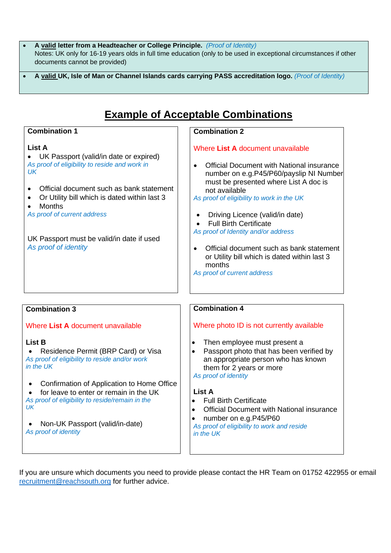- **A valid letter from a Headteacher or College Principle.** *(Proof of Identity)* Notes: UK only for 16-19 years olds in full time education (only to be used in exceptional circumstances if other documents cannot be provided)
- **A valid UK, Isle of Man or Channel Islands cards carrying PASS accreditation logo.** *(Proof of Identity)*

# **Example of Acceptable Combinations**

## **Combination 1**

## **List A**

• UK Passport (valid/in date or expired) *As proof of eligibility to reside and work in UK*

- Official document such as bank statement
- Or Utility bill which is dated within last 3
- Months
- *As proof of current address*

UK Passport must be valid/in date if used *As proof of identity*

## **Combination 2**

## Where **List A** document unavailable

• Official Document with National insurance number on e.g.P45/P60/payslip NI Number must be presented where List A doc is not available

*As proof of eligibility to work in the UK*

- Driving Licence (valid/in date)
- Full Birth Certificate
- *As proof of Identity and/or address*
- Official document such as bank statement or Utility bill which is dated within last 3 months
- *As proof of current address*

## **Combination 3**

Where **List A** document unavailable

## **List B**

- Residence Permit (BRP Card) or Visa *As proof of eligibility to reside and/or work in the UK*
- Confirmation of Application to Home Office

• for leave to enter or remain in the UK *As proof of eligibility to reside/remain in the UK*

• Non-UK Passport (valid/in-date) *As proof of identity*

## **Combination 4**

## Where photo ID is not currently available

- Then employee must present a
- Passport photo that has been verified by an appropriate person who has known them for 2 years or more *As proof of identity*

## **List A**

- Full Birth Certificate
- Official Document with National insurance
- number on e.g.P45/P60

*As proof of eligibility to work and reside in the UK*

If you are unsure which documents you need to provide please contact the HR Team on 01752 422955 or email [recruitment@reachsouth.org](mailto:recruitment@reachsouth.org) for further advice.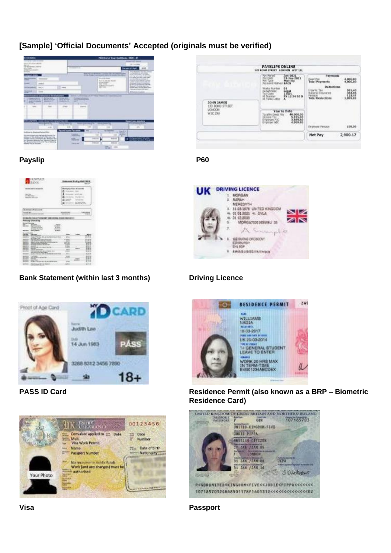## **[Sample] 'Official Documents' Accepted (originals must be verified)**



## Payslip **Payslip P60**

| <b>BAN</b>                                                                                                                                                                                                                                                                                                                                                                                                                                                                                                                                                                                                                                                                                                                               |                                                                            | <b>Representative Economic City</b>                                                         |                                                            |
|------------------------------------------------------------------------------------------------------------------------------------------------------------------------------------------------------------------------------------------------------------------------------------------------------------------------------------------------------------------------------------------------------------------------------------------------------------------------------------------------------------------------------------------------------------------------------------------------------------------------------------------------------------------------------------------------------------------------------------------|----------------------------------------------------------------------------|---------------------------------------------------------------------------------------------|------------------------------------------------------------|
| ---                                                                                                                                                                                                                                                                                                                                                                                                                                                                                                                                                                                                                                                                                                                                      |                                                                            | in Value Scientistica                                                                       |                                                            |
| <b>FALL TAX</b><br><b>Bill Real stated: 11 P.C.</b><br>Million All Silks                                                                                                                                                                                                                                                                                                                                                                                                                                                                                                                                                                                                                                                                 | <b>STATISTICS</b><br><br>-<br>-                                            | <b>CALL AND ARRANGEMENT</b><br>۰<br><b>STORY COLLEGE AND COMPANY</b><br><b>SEATE REVIEW</b> |                                                            |
| <b>CALL AT ALL LINES</b>                                                                                                                                                                                                                                                                                                                                                                                                                                                                                                                                                                                                                                                                                                                 |                                                                            |                                                                                             |                                                            |
|                                                                                                                                                                                                                                                                                                                                                                                                                                                                                                                                                                                                                                                                                                                                          |                                                                            |                                                                                             |                                                            |
|                                                                                                                                                                                                                                                                                                                                                                                                                                                                                                                                                                                                                                                                                                                                          | <b>STATISTICS</b>                                                          |                                                                                             | --                                                         |
| <br><br><b>Recognized</b><br><b>Service Tractor</b>                                                                                                                                                                                                                                                                                                                                                                                                                                                                                                                                                                                                                                                                                      | ---<br><b>BEARDT</b>                                                       |                                                                                             |                                                            |
| w<br><b>CARD NOTES</b><br><b>Frank No Sea</b><br><b>Address (200)</b><br><br>--                                                                                                                                                                                                                                                                                                                                                                                                                                                                                                                                                                                                                                                          | <b>K. HALL</b><br><b>CALL AT</b><br><b>CALLS</b>                           |                                                                                             |                                                            |
| <b>SAFERROL</b><br><b>Rightford TV Str. Clean All Ale All</b><br>--                                                                                                                                                                                                                                                                                                                                                                                                                                                                                                                                                                                                                                                                      |                                                                            |                                                                                             | <b>PORT</b><br>×<br>----                                   |
| <b>AT CONNECTION</b><br>and cold to the All Colorado School<br>and anotherly additional basical<br><b>GRACIA AR DC AND RETAIL COMPANY</b><br>the color sales of what the<br>ar bandar out doing the said the<br><b>STATE</b><br>-<br><b>CONTRACTOR</b><br>---<br><b>START</b><br>-<br>CALIF GAME WAS CITED.<br>In a final coup restricted to a free test through                                                                                                                                                                                                                                                                                                                                                                         | -<br>-<br><br><b>COLLEN</b><br><b>DOM:</b><br><br><br><b>SALES</b><br>,,,, | <b>Design</b>                                                                               | $14.54 - 1$<br>$-75 -$<br>š<br>tmi<br>                     |
| <b>Make the primaring calls up common-</b><br>book and in fact to be an use that it                                                                                                                                                                                                                                                                                                                                                                                                                                                                                                                                                                                                                                                      |                                                                            |                                                                                             | <b>NOMAR</b><br>$-1111$<br><b>BLASH ARE</b><br><b>LALA</b> |
| ENGINARIO DEL APRENDENTE ILEMANDELLE ESCRIPTION EL LI<br>÷<br><b>CALL COMM</b><br><br>۰<br>--<br>--<br>___<br>--<br><br>--<br>--<br>-<br>----<br><b>AND NOTICE</b><br><br>$\frac{1}{2} \left( \frac{1}{2} \right) \left( \frac{1}{2} \right) \left( \frac{1}{2} \right) \left( \frac{1}{2} \right) \left( \frac{1}{2} \right) \left( \frac{1}{2} \right) \left( \frac{1}{2} \right) \left( \frac{1}{2} \right) \left( \frac{1}{2} \right) \left( \frac{1}{2} \right) \left( \frac{1}{2} \right) \left( \frac{1}{2} \right) \left( \frac{1}{2} \right) \left( \frac{1}{2} \right) \left( \frac{1}{2} \right) \left( \frac{1}{2} \right) \left( \frac$<br>---<br><b>CONTRACT</b><br>--<br>--<br>to A.I. Tracking dec all res. Fall or some | ٠<br>$-1$                                                                  | <b>CALL AV</b><br>alikin.                                                                   | <br><br>---<br><br><b>SY10</b>                             |

## **Bank Statement (within last 3 months) Driving Licence**











## **PASS ID Card Residence Permit (also known as a BRP – Biometric Residence Card)**



**Visa Passport**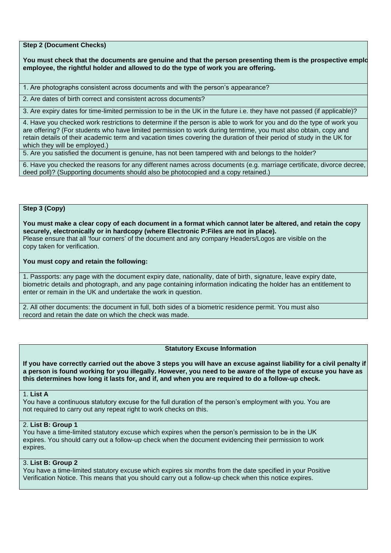**Step 2 (Document Checks)**

You must check that the documents are genuine and that the person presenting them is the prospective emplo **employee, the rightful holder and allowed to do the type of work you are offering.**

1. Are photographs consistent across documents and with the person's appearance?

2. Are dates of birth correct and consistent across documents?

3. Are expiry dates for time-limited permission to be in the UK in the future i.e. they have not passed (if applicable)?

4. Have you checked work restrictions to determine if the person is able to work for you and do the type of work you are offering? (For students who have limited permission to work during termtime, you must also obtain, copy and retain details of their academic term and vacation times covering the duration of their period of study in the UK for which they will be employed.)

5. Are you satisfied the document is genuine, has not been tampered with and belongs to the holder?

6. Have you checked the reasons for any different names across documents (e.g. marriage certificate, divorce decree, deed poll)? (Supporting documents should also be photocopied and a copy retained.)

## **Step 3 (Copy)**

**You must make a clear copy of each document in a format which cannot later be altered, and retain the copy securely, electronically or in hardcopy (where Electronic P:Files are not in place).**  Please ensure that all 'four corners' of the document and any company Headers/Logos are visible on the copy taken for verification.

#### **You must copy and retain the following:**

1. Passports: any page with the document expiry date, nationality, date of birth, signature, leave expiry date, biometric details and photograph, and any page containing information indicating the holder has an entitlement to enter or remain in the UK and undertake the work in question.

2. All other documents: the document in full, both sides of a biometric residence permit. You must also record and retain the date on which the check was made.

#### **Statutory Excuse Information**

**If you have correctly carried out the above 3 steps you will have an excuse against liability for a civil penalty if a person is found working for you illegally. However, you need to be aware of the type of excuse you have as this determines how long it lasts for, and if, and when you are required to do a follow-up check.**

## 1. **List A**

You have a continuous statutory excuse for the full duration of the person's employment with you. You are not required to carry out any repeat right to work checks on this.

## 2. **List B: Group 1**

You have a time-limited statutory excuse which expires when the person's permission to be in the UK expires. You should carry out a follow-up check when the document evidencing their permission to work expires.

## 3. **List B: Group 2**

You have a time-limited statutory excuse which expires six months from the date specified in your Positive Verification Notice. This means that you should carry out a follow-up check when this notice expires.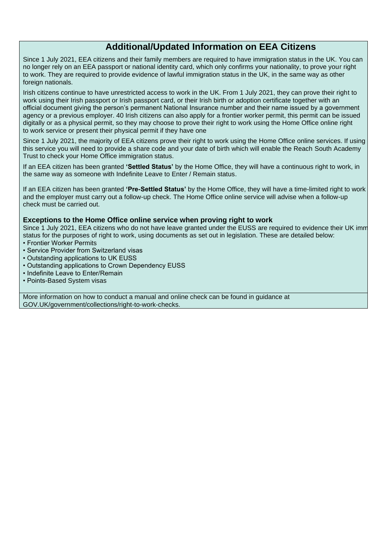## **Additional/Updated Information on EEA Citizens**

Since 1 July 2021, EEA citizens and their family members are required to have immigration status in the UK. You can no longer rely on an EEA passport or national identity card, which only confirms your nationality, to prove your right to work. They are required to provide evidence of lawful immigration status in the UK, in the same way as other foreign nationals.

Irish citizens continue to have unrestricted access to work in the UK. From 1 July 2021, they can prove their right to work using their Irish passport or Irish passport card, or their Irish birth or adoption certificate together with an official document giving the person's permanent National Insurance number and their name issued by a government agency or a previous employer. 40 Irish citizens can also apply for a frontier worker permit, this permit can be issued digitally or as a physical permit, so they may choose to prove their right to work using the Home Office online right to work service or present their physical permit if they have one

Since 1 July 2021, the majority of EEA citizens prove their right to work using the Home Office online services. If using this service you will need to provide a share code and your date of birth which will enable the Reach South Academy Trust to check your Home Office immigration status.

If an EEA citizen has been granted **'Settled Status'** by the Home Office, they will have a continuous right to work, in the same way as someone with Indefinite Leave to Enter / Remain status.

If an EEA citizen has been granted **'Pre-Settled Status'** by the Home Office, they will have a time-limited right to work and the employer must carry out a follow-up check. The Home Office online service will advise when a follow-up check must be carried out.

#### **Exceptions to the Home Office online service when proving right to work**

Since 1 July 2021, EEA citizens who do not have leave granted under the EUSS are required to evidence their UK imm status for the purposes of right to work, using documents as set out in legislation. These are detailed below:

- Frontier Worker Permits
- Service Provider from Switzerland visas
- Outstanding applications to UK EUSS
- Outstanding applications to Crown Dependency EUSS
- Indefinite Leave to Enter/Remain
- Points-Based System visas

More information on how to conduct a manual and online check can be found in guidance at GOV.UK/government/collections/right-to-work-checks.